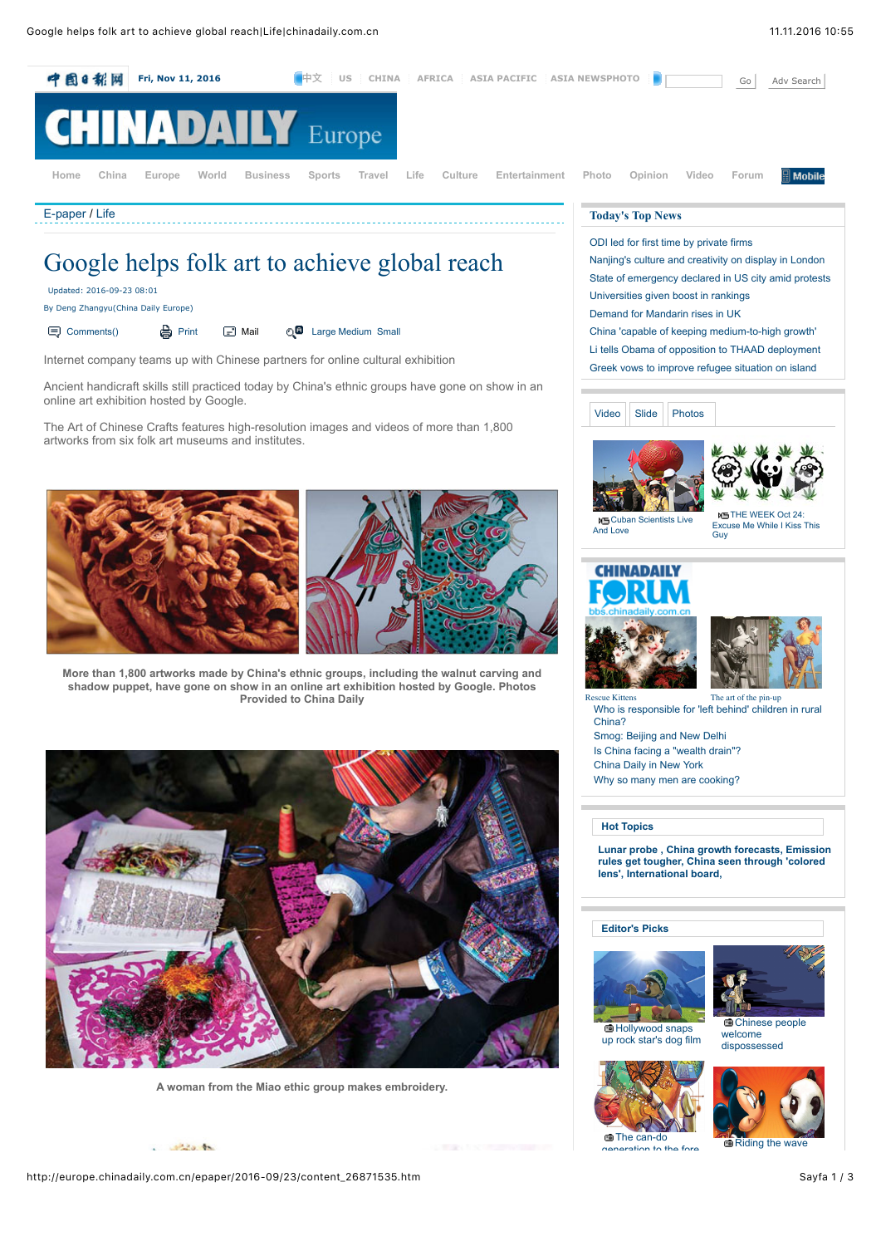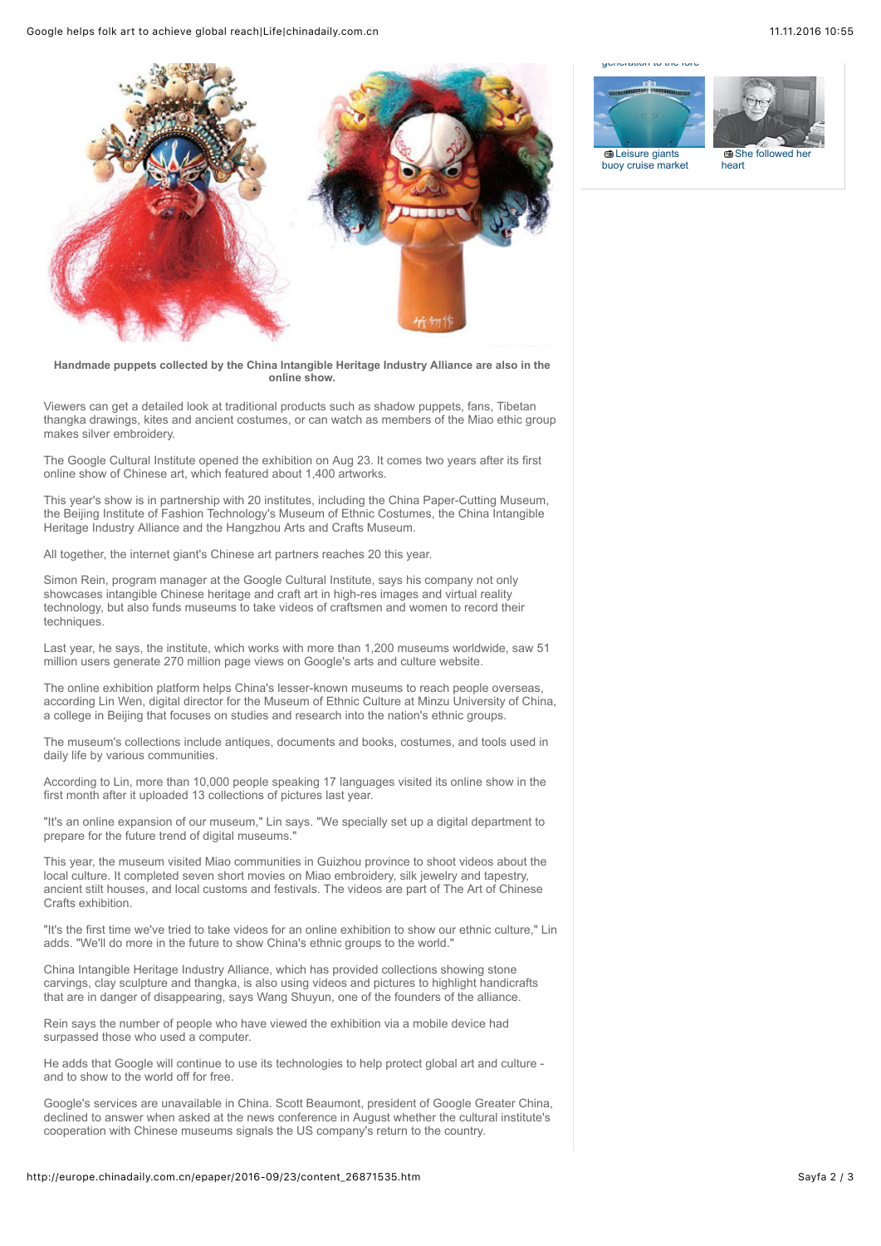Google helps folk art to achieve global reach|Life|chinadaily.com.cn 11.11.2016 10:55



**Handmade puppets collected by the China Intangible Heritage Industry Alliance are also in the online show.**

Viewers can get a detailed look at traditional products such as shadow puppets, fans, Tibetan thangka drawings, kites and ancient costumes, or can watch as members of the Miao ethic group makes silver embroidery.

The Google Cultural Institute opened the exhibition on Aug 23. It comes two years after its first online show of Chinese art, which featured about 1,400 artworks.

This year's show is in partnership with 20 institutes, including the China Paper-Cutting Museum, the Beijing Institute of Fashion Technology's Museum of Ethnic Costumes, the China Intangible Heritage Industry Alliance and the Hangzhou Arts and Crafts Museum.

All together, the internet giant's Chinese art partners reaches 20 this year.

Simon Rein, program manager at the Google Cultural Institute, says his company not only showcases intangible Chinese heritage and craft art in high-res images and virtual reality technology, but also funds museums to take videos of craftsmen and women to record their techniques.

Last year, he says, the institute, which works with more than 1,200 museums worldwide, saw 51 million users generate 270 million page views on Google's arts and culture website.

The online exhibition platform helps China's lesser-known museums to reach people overseas, according Lin Wen, digital director for the Museum of Ethnic Culture at Minzu University of China, a college in Beijing that focuses on studies and research into the nation's ethnic groups.

The museum's collections include antiques, documents and books, costumes, and tools used in daily life by various communities.

According to Lin, more than 10,000 people speaking 17 languages visited its online show in the first month after it uploaded 13 collections of pictures last year.

"It's an online expansion of our museum," Lin says. "We specially set up a digital department to prepare for the future trend of digital museums."

This year, the museum visited Miao communities in Guizhou province to shoot videos about the local culture. It completed seven short movies on Miao embroidery, silk jewelry and tapestry, ancient stilt houses, and local customs and festivals. The videos are part of The Art of Chinese Crafts exhibition.

"It's the first time we've tried to take videos for an online exhibition to show our ethnic culture," Lin adds. "We'll do more in the future to show China's ethnic groups to the world."

China Intangible Heritage Industry Alliance, which has provided collections showing stone carvings, clay sculpture and thangka, is also using videos and pictures to highlight handicrafts that are in danger of disappearing, says Wang Shuyun, one of the founders of the alliance.

Rein says the number of people who have viewed the exhibition via a mobile device had surpassed those who used a computer.

He adds that Google will continue to use its technologies to help protect global art and culture and to show to the world off for free.

Google's services are unavailable in China. Scott Beaumont, president of Google Greater China, declined to answer when asked at the news conference in August whether the cultural institute's cooperation with Chinese museums signals the US company's return to the country.

## http://europe.chinadaily.com.cn/epaper/2016-09/23/content\_26871535.htm Sayfa 2 / 3

[generation to the fore](http://europe.chinadaily.com.cn/china/2016-06/10/content_25667983.htm)





**G** Leisure giants [buoy cruise market](http://europe.chinadaily.com.cn/business/2016-06/10/content_25667998.htm)

she followed heart